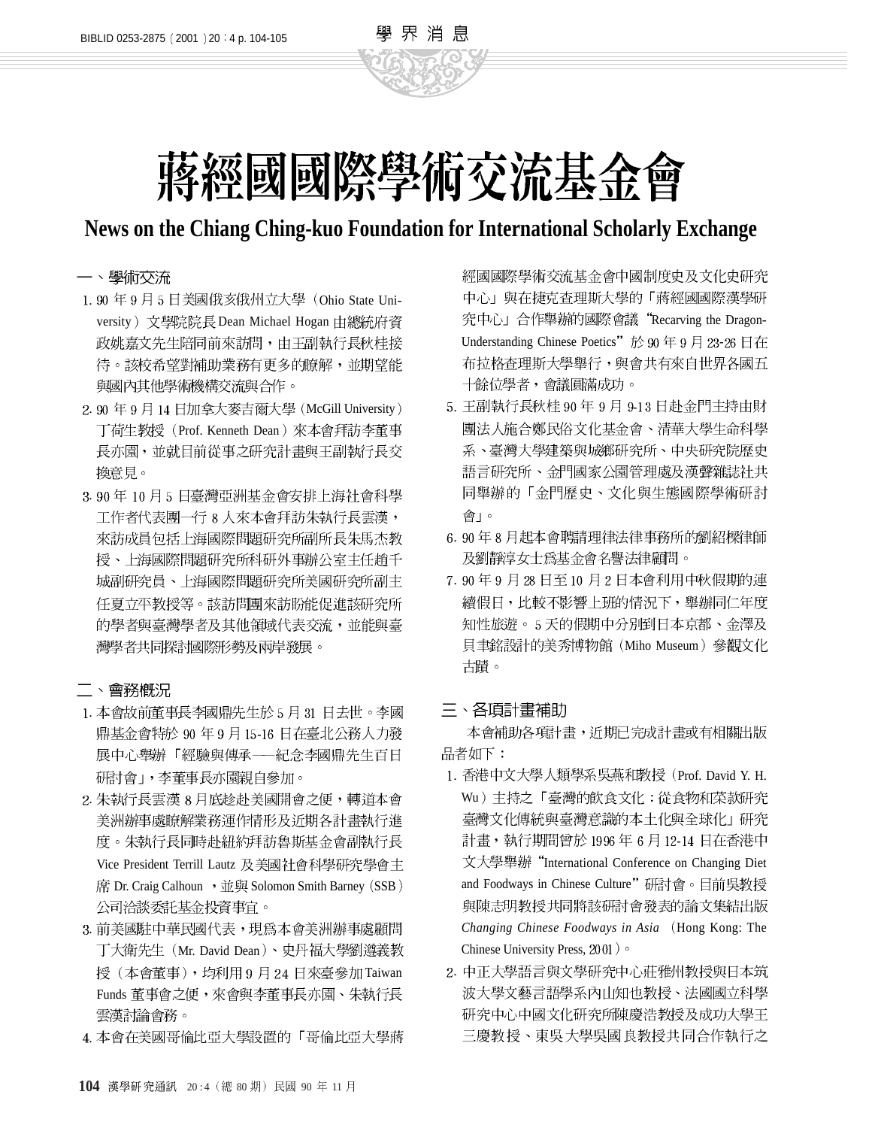

學 界 消 息

# **News on the Chiang Ching-kuo Foundation for International Scholarly Exchange**

### 一、學術交流

- 1.90年9月5日美國俄亥俄州立大學 (Ohio State University) 文學院院長 Dean Michael Hogan 由總統府資 政姚嘉文先生陪同前來訪問,由王副執行長秋桂接 待。該校希望對補助業務有更多的瞭解,並期望能 與國內其他學術機構交流與合作。
- 2.90年9月14日加拿大麥吉爾大學 (McGill University) 丁荷生教授 (Prof. Kenneth Dean) 來本會拜訪李董事 長亦園,並就目前從事之研究計畫與王副執行長交 換意見。
- 3.90年10月5日臺灣亞洲基金會安排上海社會科學 工作者代表團一行 8 人來本會拜訪朱執行長雲漢, 來訪成員包括上海國際問題研究所副所長朱馬杰教 授、上海國際問題研究所科研外事辦公室主任趙千 城副研究員、上海國際問題研究所美國研究所副主 任夏立平教授等。該訪問團來訪盼能促進該研究所 的學者與臺灣學者及其他領域代表交流,並能與臺 灣學者共同探討國際形勢及兩岸發展。

## 二、會務概況

- 1. 本會故前董事長李國鼎先生於 5月 31 日去世。李國 鼎基金會特於 90 年 9 月 15-16 日在臺北公務人力發 展中心舉辦「經驗與傳承––紀念李國鼎先生百日 研討會 |, 李董事長亦園親自參加。
- 2. 朱執行長雲漢 8月底趁赴美國開會之便,轉道本會 美洲辦事處瞭解業務運作情形及近期各計畫執行進 度。朱執行長同時赴紐約拜訪魯斯基金會副執行長 Vice President Terrill Lautz 及美國社會科學研究學會主 席 Dr. Craig Calhoun , 並與 Solomon Smith Barney (SSB) 公司洽談委託基金投資事宜。
- 3. 前美國駐中華民國代表,現為本會美洲辦事處顧問 丁大衛先生 (Mr. David Dean)、史丹福大學劉遵義教 授(本會董事),均利用9月24日來臺參加Taiwan Funds 董事會之便,來會與李董事長亦園、朱執行長 雲漢討論會務。
- 4. 本會在美國哥倫比亞大學設置的「哥倫比亞大學蔣

經國國際學術交流基金會中國制度史及文化史研究 中心」與在捷克查理斯大學的「蔣經國國際漢學研 究中心」合作舉辦的國際會議"Recarving the Dragon-Understanding Chinese Poetics"於90年9月23-26日在 布拉格查理斯大學舉行,與會共有來自世界各國五 十餘位學者,會議圓滿成功。

- 5. 王副執行長秋桂 90年 9月 9-13 日赴金門主持由財 團法人施合鄭民俗文化基金會、清華大學生命科學 系、臺灣大學建築與城鄉研究所、中央研究院歷史 語言研究所、金門國家公園管理處及漢聲雜誌社共 同舉辦的「金門歷史、文化與生態國際學術研討 會」。
- 6.90年8月起本會聘請理律法律事務所的劉紹樑律師 及劉靜淳女士爲基金會名譽法律顧問。
- 7. 90年9月28日至10月2日本會利用中秋假期的連 續假日,比較不影響上班的情況下,舉辦同仁年度 知性旅遊。 5 天的假期中分别到日本京都、金澤及 貝聿銘設計的美秀博物館 (Miho Museum) 參觀文化 古蹟。

### 三、各項計畫補助

本會補助各項計畫,沂期已完成計畫或有相關出版 品者如下:

- 1. 香港中文大學人類學系吳燕和教授 (Prof. David Y. H. Wu) 主持之「臺灣的飲食文化:從食物和菜款研究 臺灣文化傳統與臺灣意識的本土化與全球化」研究 計畫,執行期間曾於1996年6月12-14日在香港中 文大學舉辦 "International Conference on Changing Diet and Foodways in Chinese Culture"研討會。目前吳教授 與陳志明教授共同將該研討會發表的論文集結出版 *Changing Chinese Foodways in Asia* (Hong Kong: The Chinese University Press, 2001) o
- 2. 中正大學語言與文學研究中心莊雅州教授與日本筑 波大學文藝言語學系內山知也教授、法國國立科學 研究中心中國文化研究所陳慶浩教授及成功大學王 三慶教授、東吳大學吳國良教授共同合作執行之